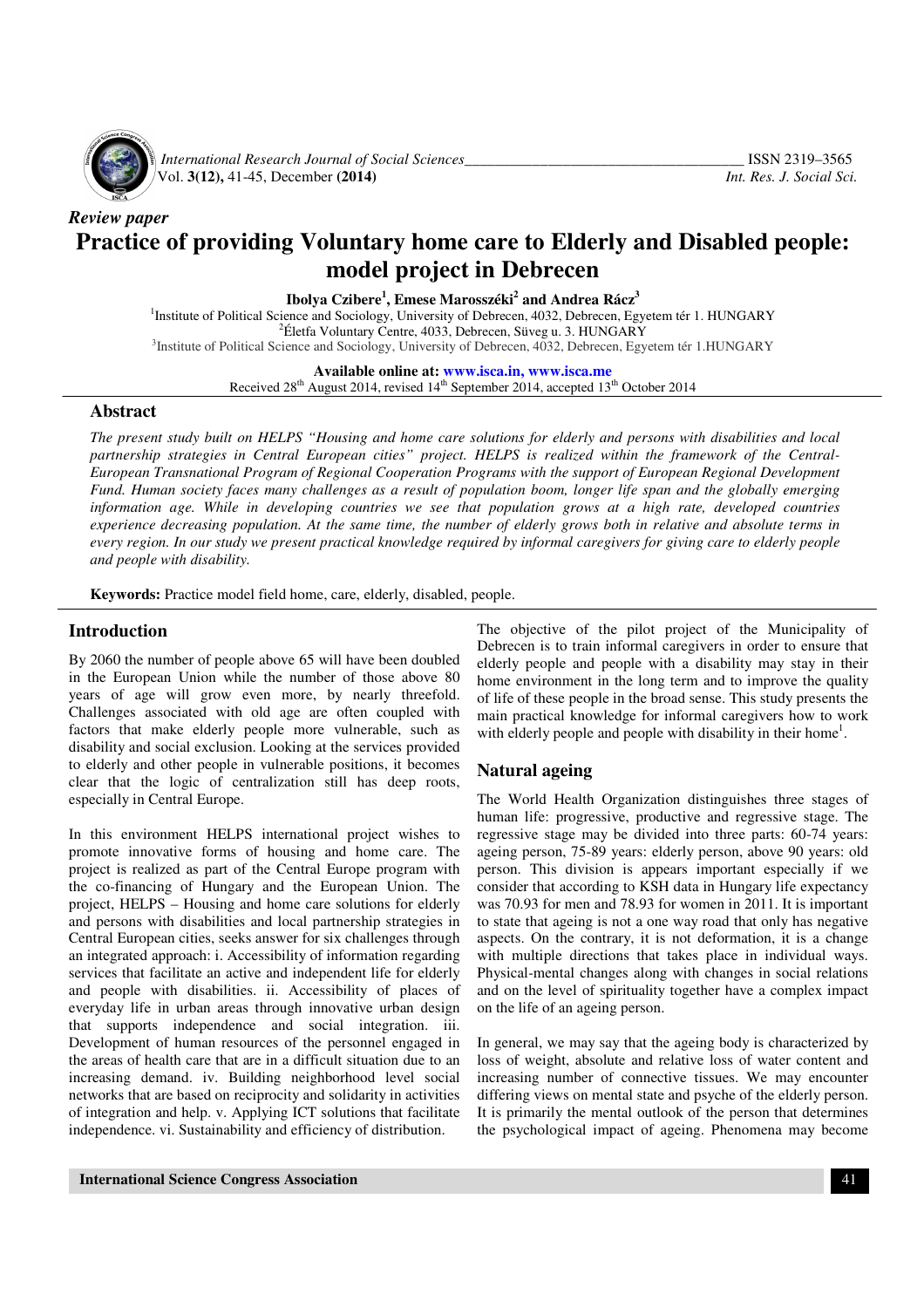

*International Research Journal of Social Sciences*<br>Vol. 3(12), 41-45, December (2014) *Int. Res. J. Social Sci.* Vol. **3(12),** 41-45, December **(2014)** *Int. Res. J. Social Sci.*

# *Review paper*  **Practice of providing Voluntary home care to Elderly and Disabled people: model project in Debrecen**

**Ibolya Czibere<sup>1</sup> , Emese Marosszéki<sup>2</sup> and Andrea Rácz<sup>3</sup>**

<sup>1</sup>Institute of Political Science and Sociology, University of Debrecen, 4032, Debrecen, Egyetem tér 1. HUNGARY  $2$ Életfa Voluntary Centre, 4033, Debrecen, Süveg u. 3. HUNGARY <sup>3</sup>Institute of Political Science and Sociology, University of Debrecen, 4032, Debrecen, Egyetem tér 1.HUNGARY

**Available online at: www.isca.in, www.isca.me**

Received 28<sup>th</sup> August 2014, revised 14<sup>th</sup> September 2014, accepted 13<sup>th</sup> October 2014

#### **Abstract**

*The present study built on HELPS "Housing and home care solutions for elderly and persons with disabilities and local partnership strategies in Central European cities" project. HELPS is realized within the framework of the Central-European Transnational Program of Regional Cooperation Programs with the support of European Regional Development Fund. Human society faces many challenges as a result of population boom, longer life span and the globally emerging*  information age. While in developing countries we see that population grows at a high rate, developed countries *experience decreasing population. At the same time, the number of elderly grows both in relative and absolute terms in every region. In our study we present practical knowledge required by informal caregivers for giving care to elderly people and people with disability.* 

**Keywords:** Practice model field home, care, elderly, disabled, people.

#### **Introduction**

By 2060 the number of people above 65 will have been doubled in the European Union while the number of those above 80 years of age will grow even more, by nearly threefold. Challenges associated with old age are often coupled with factors that make elderly people more vulnerable, such as disability and social exclusion. Looking at the services provided to elderly and other people in vulnerable positions, it becomes clear that the logic of centralization still has deep roots, especially in Central Europe.

In this environment HELPS international project wishes to promote innovative forms of housing and home care. The project is realized as part of the Central Europe program with the co-financing of Hungary and the European Union. The project, HELPS – Housing and home care solutions for elderly and persons with disabilities and local partnership strategies in Central European cities, seeks answer for six challenges through an integrated approach: i. Accessibility of information regarding services that facilitate an active and independent life for elderly and people with disabilities. ii. Accessibility of places of everyday life in urban areas through innovative urban design that supports independence and social integration. iii. Development of human resources of the personnel engaged in the areas of health care that are in a difficult situation due to an increasing demand. iv. Building neighborhood level social networks that are based on reciprocity and solidarity in activities of integration and help. v. Applying ICT solutions that facilitate independence. vi. Sustainability and efficiency of distribution.

The objective of the pilot project of the Municipality of Debrecen is to train informal caregivers in order to ensure that elderly people and people with a disability may stay in their home environment in the long term and to improve the quality of life of these people in the broad sense. This study presents the main practical knowledge for informal caregivers how to work with elderly people and people with disability in their home<sup>1</sup>.

#### **Natural ageing**

The World Health Organization distinguishes three stages of human life: progressive, productive and regressive stage. The regressive stage may be divided into three parts: 60-74 years: ageing person, 75-89 years: elderly person, above 90 years: old person. This division is appears important especially if we consider that according to KSH data in Hungary life expectancy was 70.93 for men and 78.93 for women in 2011. It is important to state that ageing is not a one way road that only has negative aspects. On the contrary, it is not deformation, it is a change with multiple directions that takes place in individual ways. Physical-mental changes along with changes in social relations and on the level of spirituality together have a complex impact on the life of an ageing person.

In general, we may say that the ageing body is characterized by loss of weight, absolute and relative loss of water content and increasing number of connective tissues. We may encounter differing views on mental state and psyche of the elderly person. It is primarily the mental outlook of the person that determines the psychological impact of ageing. Phenomena may become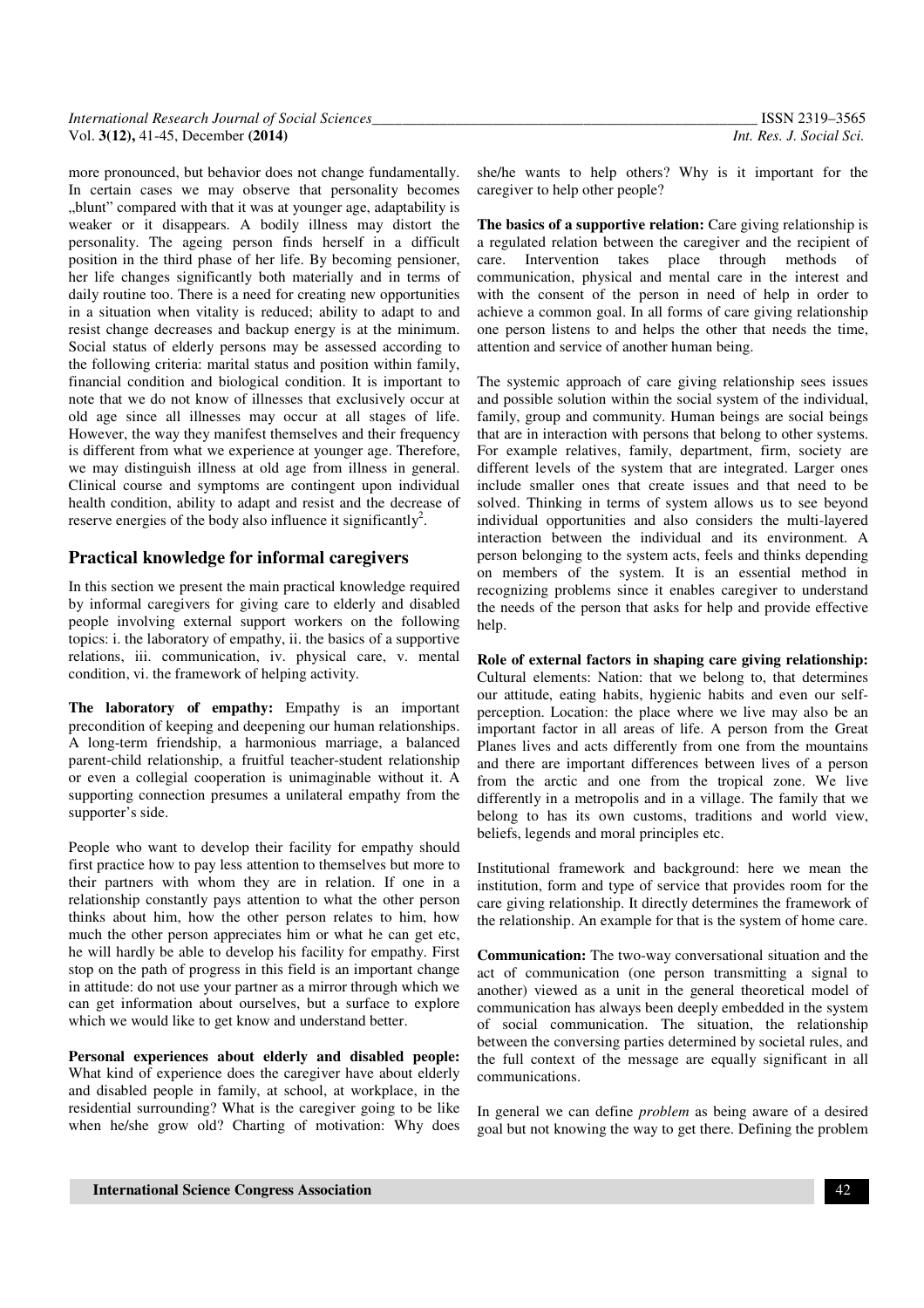| International Research Journal of Social Sciences_ | ISSN 2319-3565           |
|----------------------------------------------------|--------------------------|
| Vol. 3(12), 41-45, December (2014)                 | Int. Res. J. Social Sci. |

more pronounced, but behavior does not change fundamentally. In certain cases we may observe that personality becomes "blunt" compared with that it was at younger age, adaptability is weaker or it disappears. A bodily illness may distort the personality. The ageing person finds herself in a difficult position in the third phase of her life. By becoming pensioner, her life changes significantly both materially and in terms of daily routine too. There is a need for creating new opportunities in a situation when vitality is reduced; ability to adapt to and resist change decreases and backup energy is at the minimum. Social status of elderly persons may be assessed according to the following criteria: marital status and position within family, financial condition and biological condition. It is important to note that we do not know of illnesses that exclusively occur at old age since all illnesses may occur at all stages of life. However, the way they manifest themselves and their frequency is different from what we experience at younger age. Therefore, we may distinguish illness at old age from illness in general. Clinical course and symptoms are contingent upon individual health condition, ability to adapt and resist and the decrease of reserve energies of the body also influence it significantly<sup>2</sup>.

#### **Practical knowledge for informal caregivers**

In this section we present the main practical knowledge required by informal caregivers for giving care to elderly and disabled people involving external support workers on the following topics: i. the laboratory of empathy, ii. the basics of a supportive relations, iii. communication, iv. physical care, v. mental condition, vi. the framework of helping activity.

**The laboratory of empathy:** Empathy is an important precondition of keeping and deepening our human relationships. A long-term friendship, a harmonious marriage, a balanced parent-child relationship, a fruitful teacher-student relationship or even a collegial cooperation is unimaginable without it. A supporting connection presumes a unilateral empathy from the supporter's side.

People who want to develop their facility for empathy should first practice how to pay less attention to themselves but more to their partners with whom they are in relation. If one in a relationship constantly pays attention to what the other person thinks about him, how the other person relates to him, how much the other person appreciates him or what he can get etc, he will hardly be able to develop his facility for empathy. First stop on the path of progress in this field is an important change in attitude: do not use your partner as a mirror through which we can get information about ourselves, but a surface to explore which we would like to get know and understand better.

**Personal experiences about elderly and disabled people:** What kind of experience does the caregiver have about elderly and disabled people in family, at school, at workplace, in the residential surrounding? What is the caregiver going to be like when he/she grow old? Charting of motivation: Why does she/he wants to help others? Why is it important for the caregiver to help other people?

**The basics of a supportive relation:** Care giving relationship is a regulated relation between the caregiver and the recipient of care. Intervention takes place through methods of communication, physical and mental care in the interest and with the consent of the person in need of help in order to achieve a common goal. In all forms of care giving relationship one person listens to and helps the other that needs the time, attention and service of another human being.

The systemic approach of care giving relationship sees issues and possible solution within the social system of the individual, family, group and community. Human beings are social beings that are in interaction with persons that belong to other systems. For example relatives, family, department, firm, society are different levels of the system that are integrated. Larger ones include smaller ones that create issues and that need to be solved. Thinking in terms of system allows us to see beyond individual opportunities and also considers the multi-layered interaction between the individual and its environment. A person belonging to the system acts, feels and thinks depending on members of the system. It is an essential method in recognizing problems since it enables caregiver to understand the needs of the person that asks for help and provide effective help.

**Role of external factors in shaping care giving relationship:**  Cultural elements: Nation: that we belong to, that determines our attitude, eating habits, hygienic habits and even our selfperception. Location: the place where we live may also be an important factor in all areas of life. A person from the Great Planes lives and acts differently from one from the mountains and there are important differences between lives of a person from the arctic and one from the tropical zone. We live differently in a metropolis and in a village. The family that we belong to has its own customs, traditions and world view, beliefs, legends and moral principles etc.

Institutional framework and background: here we mean the institution, form and type of service that provides room for the care giving relationship. It directly determines the framework of the relationship. An example for that is the system of home care.

**Communication:** The two-way conversational situation and the act of communication (one person transmitting a signal to another) viewed as a unit in the general theoretical model of communication has always been deeply embedded in the system of social communication. The situation, the relationship between the conversing parties determined by societal rules, and the full context of the message are equally significant in all communications.

In general we can define *problem* as being aware of a desired goal but not knowing the way to get there. Defining the problem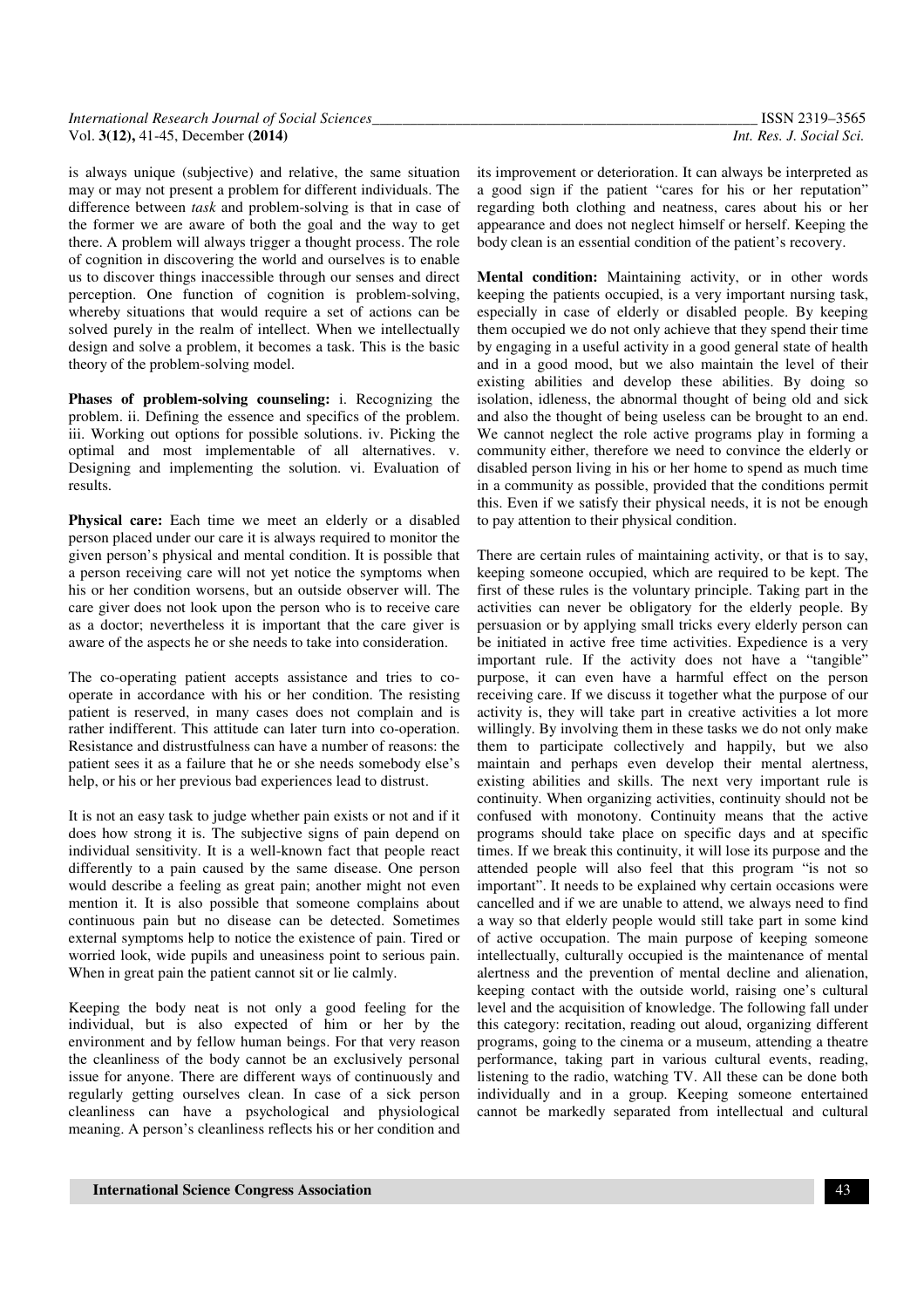| International Research Journal of Social Sciences |  |
|---------------------------------------------------|--|
| Vol. $3(12)$ , 41-45, December $(2014)$           |  |

is always unique (subjective) and relative, the same situation may or may not present a problem for different individuals. The difference between *task* and problem-solving is that in case of the former we are aware of both the goal and the way to get there. A problem will always trigger a thought process. The role of cognition in discovering the world and ourselves is to enable us to discover things inaccessible through our senses and direct perception. One function of cognition is problem-solving, whereby situations that would require a set of actions can be solved purely in the realm of intellect. When we intellectually design and solve a problem, it becomes a task. This is the basic theory of the problem-solving model.

**Phases of problem-solving counseling:** i. Recognizing the problem. ii. Defining the essence and specifics of the problem. iii. Working out options for possible solutions. iv. Picking the optimal and most implementable of all alternatives. v. Designing and implementing the solution. vi. Evaluation of results.

**Physical care:** Each time we meet an elderly or a disabled person placed under our care it is always required to monitor the given person's physical and mental condition. It is possible that a person receiving care will not yet notice the symptoms when his or her condition worsens, but an outside observer will. The care giver does not look upon the person who is to receive care as a doctor; nevertheless it is important that the care giver is aware of the aspects he or she needs to take into consideration.

The co-operating patient accepts assistance and tries to cooperate in accordance with his or her condition. The resisting patient is reserved, in many cases does not complain and is rather indifferent. This attitude can later turn into co-operation. Resistance and distrustfulness can have a number of reasons: the patient sees it as a failure that he or she needs somebody else's help, or his or her previous bad experiences lead to distrust.

It is not an easy task to judge whether pain exists or not and if it does how strong it is. The subjective signs of pain depend on individual sensitivity. It is a well-known fact that people react differently to a pain caused by the same disease. One person would describe a feeling as great pain; another might not even mention it. It is also possible that someone complains about continuous pain but no disease can be detected. Sometimes external symptoms help to notice the existence of pain. Tired or worried look, wide pupils and uneasiness point to serious pain. When in great pain the patient cannot sit or lie calmly.

Keeping the body neat is not only a good feeling for the individual, but is also expected of him or her by the environment and by fellow human beings. For that very reason the cleanliness of the body cannot be an exclusively personal issue for anyone. There are different ways of continuously and regularly getting ourselves clean. In case of a sick person cleanliness can have a psychological and physiological meaning. A person's cleanliness reflects his or her condition and its improvement or deterioration. It can always be interpreted as a good sign if the patient "cares for his or her reputation" regarding both clothing and neatness, cares about his or her appearance and does not neglect himself or herself. Keeping the body clean is an essential condition of the patient's recovery.

**Mental condition:** Maintaining activity, or in other words keeping the patients occupied, is a very important nursing task, especially in case of elderly or disabled people. By keeping them occupied we do not only achieve that they spend their time by engaging in a useful activity in a good general state of health and in a good mood, but we also maintain the level of their existing abilities and develop these abilities. By doing so isolation, idleness, the abnormal thought of being old and sick and also the thought of being useless can be brought to an end. We cannot neglect the role active programs play in forming a community either, therefore we need to convince the elderly or disabled person living in his or her home to spend as much time in a community as possible, provided that the conditions permit this. Even if we satisfy their physical needs, it is not be enough to pay attention to their physical condition.

There are certain rules of maintaining activity, or that is to say, keeping someone occupied, which are required to be kept. The first of these rules is the voluntary principle. Taking part in the activities can never be obligatory for the elderly people. By persuasion or by applying small tricks every elderly person can be initiated in active free time activities. Expedience is a very important rule. If the activity does not have a "tangible" purpose, it can even have a harmful effect on the person receiving care. If we discuss it together what the purpose of our activity is, they will take part in creative activities a lot more willingly. By involving them in these tasks we do not only make them to participate collectively and happily, but we also maintain and perhaps even develop their mental alertness, existing abilities and skills. The next very important rule is continuity. When organizing activities, continuity should not be confused with monotony. Continuity means that the active programs should take place on specific days and at specific times. If we break this continuity, it will lose its purpose and the attended people will also feel that this program "is not so important". It needs to be explained why certain occasions were cancelled and if we are unable to attend, we always need to find a way so that elderly people would still take part in some kind of active occupation. The main purpose of keeping someone intellectually, culturally occupied is the maintenance of mental alertness and the prevention of mental decline and alienation, keeping contact with the outside world, raising one's cultural level and the acquisition of knowledge. The following fall under this category: recitation, reading out aloud, organizing different programs, going to the cinema or a museum, attending a theatre performance, taking part in various cultural events, reading, listening to the radio, watching TV. All these can be done both individually and in a group. Keeping someone entertained cannot be markedly separated from intellectual and cultural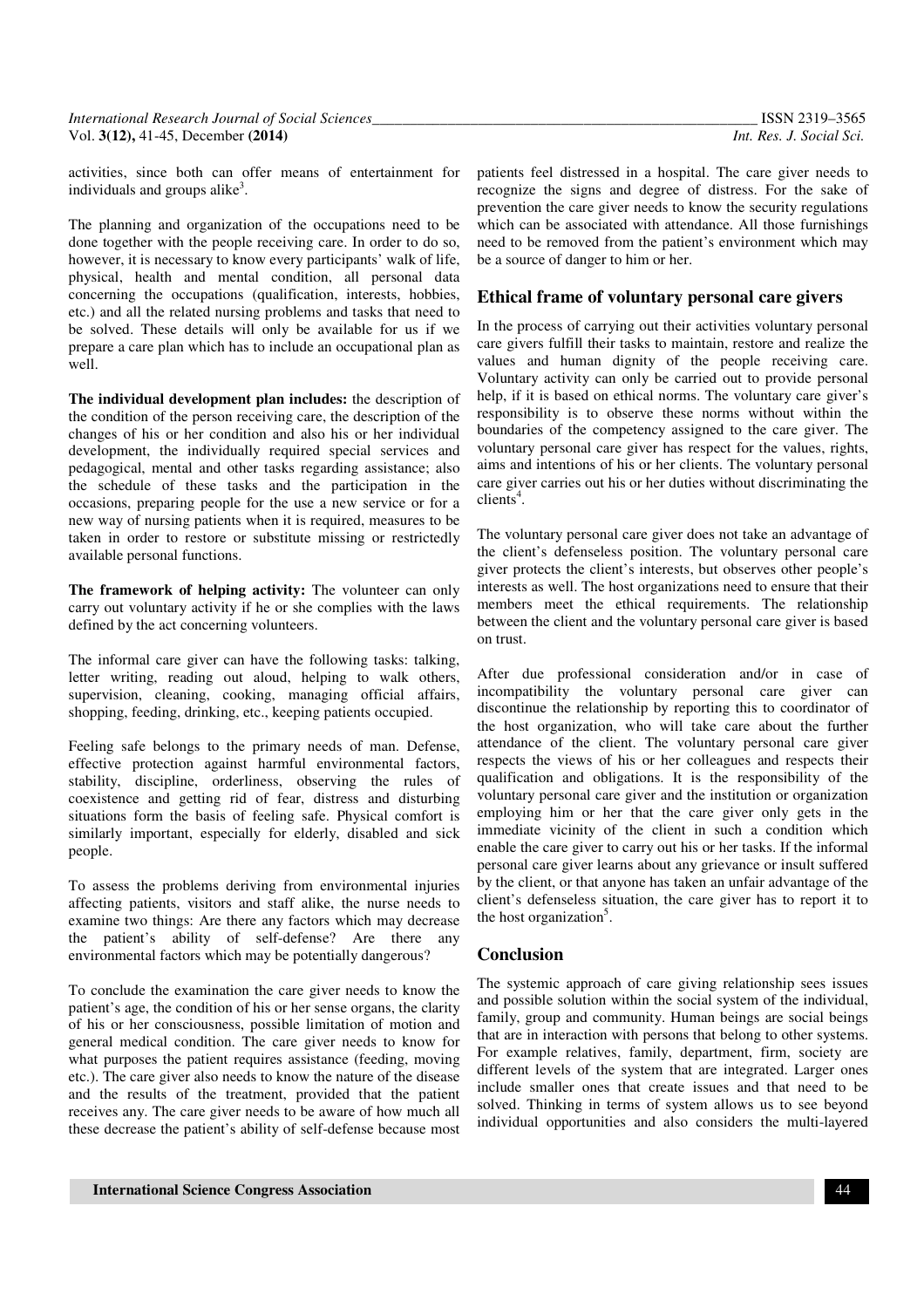| International Research Journal of Social Sciences | ISSN 2319-3565                  |
|---------------------------------------------------|---------------------------------|
| Vol. $3(12)$ , 41-45, December $(2014)$           | <i>Int. Res. J. Social Sci.</i> |

activities, since both can offer means of entertainment for individuals and groups alike<sup>3</sup>.

The planning and organization of the occupations need to be done together with the people receiving care. In order to do so, however, it is necessary to know every participants' walk of life, physical, health and mental condition, all personal data concerning the occupations (qualification, interests, hobbies, etc.) and all the related nursing problems and tasks that need to be solved. These details will only be available for us if we prepare a care plan which has to include an occupational plan as well.

**The individual development plan includes:** the description of the condition of the person receiving care, the description of the changes of his or her condition and also his or her individual development, the individually required special services and pedagogical, mental and other tasks regarding assistance; also the schedule of these tasks and the participation in the occasions, preparing people for the use a new service or for a new way of nursing patients when it is required, measures to be taken in order to restore or substitute missing or restrictedly available personal functions.

**The framework of helping activity:** The volunteer can only carry out voluntary activity if he or she complies with the laws defined by the act concerning volunteers.

The informal care giver can have the following tasks: talking, letter writing, reading out aloud, helping to walk others, supervision, cleaning, cooking, managing official affairs, shopping, feeding, drinking, etc., keeping patients occupied.

Feeling safe belongs to the primary needs of man. Defense, effective protection against harmful environmental factors, stability, discipline, orderliness, observing the rules of coexistence and getting rid of fear, distress and disturbing situations form the basis of feeling safe. Physical comfort is similarly important, especially for elderly, disabled and sick people.

To assess the problems deriving from environmental injuries affecting patients, visitors and staff alike, the nurse needs to examine two things: Are there any factors which may decrease the patient's ability of self-defense? Are there any environmental factors which may be potentially dangerous?

To conclude the examination the care giver needs to know the patient's age, the condition of his or her sense organs, the clarity of his or her consciousness, possible limitation of motion and general medical condition. The care giver needs to know for what purposes the patient requires assistance (feeding, moving etc.). The care giver also needs to know the nature of the disease and the results of the treatment, provided that the patient receives any. The care giver needs to be aware of how much all these decrease the patient's ability of self-defense because most patients feel distressed in a hospital. The care giver needs to recognize the signs and degree of distress. For the sake of prevention the care giver needs to know the security regulations which can be associated with attendance. All those furnishings need to be removed from the patient's environment which may be a source of danger to him or her.

### **Ethical frame of voluntary personal care givers**

In the process of carrying out their activities voluntary personal care givers fulfill their tasks to maintain, restore and realize the values and human dignity of the people receiving care. Voluntary activity can only be carried out to provide personal help, if it is based on ethical norms. The voluntary care giver's responsibility is to observe these norms without within the boundaries of the competency assigned to the care giver. The voluntary personal care giver has respect for the values, rights, aims and intentions of his or her clients. The voluntary personal care giver carries out his or her duties without discriminating the  $\overline{\text{clients}}^4$ .

The voluntary personal care giver does not take an advantage of the client's defenseless position. The voluntary personal care giver protects the client's interests, but observes other people's interests as well. The host organizations need to ensure that their members meet the ethical requirements. The relationship between the client and the voluntary personal care giver is based on trust.

After due professional consideration and/or in case of incompatibility the voluntary personal care giver can discontinue the relationship by reporting this to coordinator of the host organization, who will take care about the further attendance of the client. The voluntary personal care giver respects the views of his or her colleagues and respects their qualification and obligations. It is the responsibility of the voluntary personal care giver and the institution or organization employing him or her that the care giver only gets in the immediate vicinity of the client in such a condition which enable the care giver to carry out his or her tasks. If the informal personal care giver learns about any grievance or insult suffered by the client, or that anyone has taken an unfair advantage of the client's defenseless situation, the care giver has to report it to the host organization<sup>5</sup>.

#### **Conclusion**

The systemic approach of care giving relationship sees issues and possible solution within the social system of the individual, family, group and community. Human beings are social beings that are in interaction with persons that belong to other systems. For example relatives, family, department, firm, society are different levels of the system that are integrated. Larger ones include smaller ones that create issues and that need to be solved. Thinking in terms of system allows us to see beyond individual opportunities and also considers the multi-layered